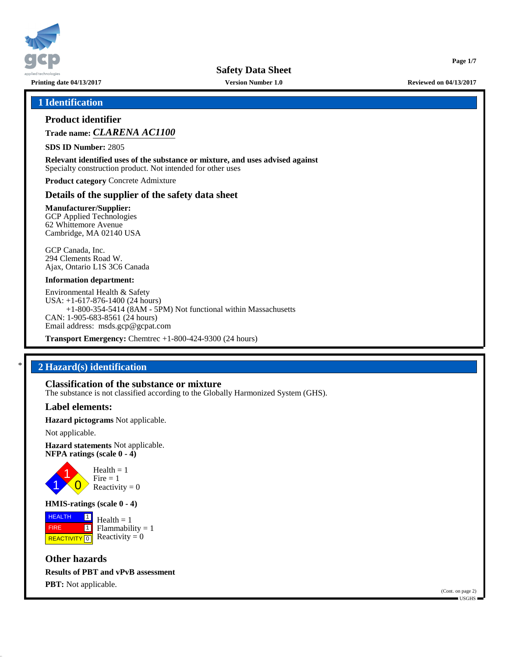

**Printing date 04/13/2017 Version Number 1.0 Reviewed on 04/13/2017**

**Page 1/7**

#### **1 Identification**

### **Product identifier**

**Trade name:** *CLARENA AC1100*

**SDS ID Number:** 2805

**Relevant identified uses of the substance or mixture, and uses advised against** Specialty construction product. Not intended for other uses

**Product category** Concrete Admixture

#### **Details of the supplier of the safety data sheet**

**Manufacturer/Supplier:** GCP Applied Technologies 62 Whittemore Avenue Cambridge, MA 02140 USA

GCP Canada, Inc. 294 Clements Road W. Ajax, Ontario L1S 3C6 Canada

#### **Information department:**

Environmental Health & Safety USA: +1-617-876-1400 (24 hours) +1-800-354-5414 (8AM - 5PM) Not functional within Massachusetts CAN: 1-905-683-8561 (24 hours) Email address: msds.gcp@gcpat.com

**Transport Emergency:** Chemtrec +1-800-424-9300 (24 hours)

### \* **2 Hazard(s) identification**

#### **Classification of the substance or mixture**

The substance is not classified according to the Globally Harmonized System (GHS).

#### **Label elements:**

**Hazard pictograms** Not applicable.

Not applicable.

**Hazard statements** Not applicable. **NFPA ratings (scale 0 - 4)**



**HMIS-ratings (scale 0 - 4)**

**HEALTH**  FIRE **REACTIVITY** 0  $\boxed{1}$  $\overline{\mathbf{1}}$  $Health = 1$  $Flammability = 1$ Reactivity  $= 0$ 

**Other hazards Results of PBT and vPvB assessment PBT:** Not applicable.

(Cont. on page 2) USGHS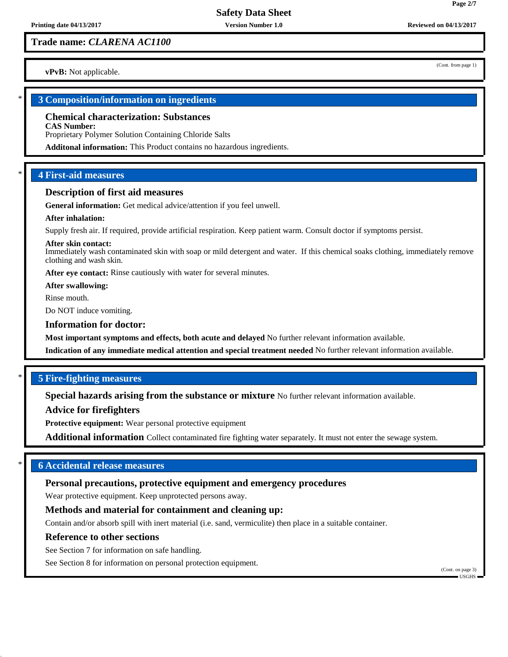## **Trade name:** *CLARENA AC1100*

**vPvB:** Not applicable.

#### \* **3 Composition/information on ingredients**

#### **Chemical characterization: Substances**

**CAS Number:**

Proprietary Polymer Solution Containing Chloride Salts

**Additonal information:** This Product contains no hazardous ingredients.

# \* **4 First-aid measures**

#### **Description of first aid measures**

**General information:** Get medical advice/attention if you feel unwell.

#### **After inhalation:**

Supply fresh air. If required, provide artificial respiration. Keep patient warm. Consult doctor if symptoms persist.

#### **After skin contact:**

Immediately wash contaminated skin with soap or mild detergent and water. If this chemical soaks clothing, immediately remove clothing and wash skin.

**After eye contact:** Rinse cautiously with water for several minutes.

**After swallowing:**

Rinse mouth.

Do NOT induce vomiting.

#### **Information for doctor:**

**Most important symptoms and effects, both acute and delayed** No further relevant information available.

**Indication of any immediate medical attention and special treatment needed** No further relevant information available.

## \* **5 Fire-fighting measures**

**Special hazards arising from the substance or mixture** No further relevant information available.

**Advice for firefighters**

**Protective equipment:** Wear personal protective equipment

**Additional information** Collect contaminated fire fighting water separately. It must not enter the sewage system.

## \* **6 Accidental release measures**

# **Personal precautions, protective equipment and emergency procedures**

Wear protective equipment. Keep unprotected persons away.

# **Methods and material for containment and cleaning up:**

Contain and/or absorb spill with inert material (i.e. sand, vermiculite) then place in a suitable container.

## **Reference to other sections**

See Section 7 for information on safe handling.

See Section 8 for information on personal protection equipment.

(Cont. on page 3)

USGHS

**Page 2/7**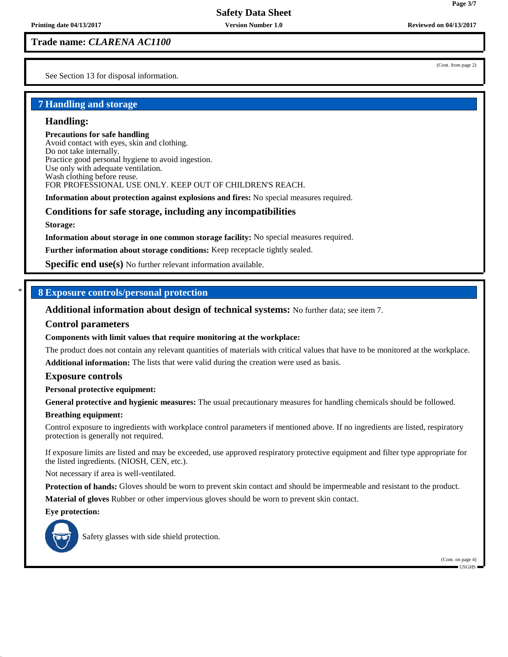### **Trade name:** *CLARENA AC1100*

See Section 13 for disposal information.

(Cont. from page 2)

# **7 Handling and storage**

#### **Handling:**

#### **Precautions for safe handling**

Avoid contact with eyes, skin and clothing. Do not take internally. Practice good personal hygiene to avoid ingestion. Use only with adequate ventilation. Wash clothing before reuse. FOR PROFESSIONAL USE ONLY. KEEP OUT OF CHILDREN'S REACH.

**Information about protection against explosions and fires:** No special measures required.

#### **Conditions for safe storage, including any incompatibilities**

**Storage:**

**Information about storage in one common storage facility:** No special measures required.

**Further information about storage conditions:** Keep receptacle tightly sealed.

**Specific end use(s)** No further relevant information available.

# \* **8 Exposure controls/personal protection**

**Additional information about design of technical systems:** No further data; see item 7.

#### **Control parameters**

**Components with limit values that require monitoring at the workplace:**

The product does not contain any relevant quantities of materials with critical values that have to be monitored at the workplace.

**Additional information:** The lists that were valid during the creation were used as basis.

#### **Exposure controls**

**Personal protective equipment:**

**General protective and hygienic measures:** The usual precautionary measures for handling chemicals should be followed.

#### **Breathing equipment:**

Control exposure to ingredients with workplace control parameters if mentioned above. If no ingredients are listed, respiratory protection is generally not required.

If exposure limits are listed and may be exceeded, use approved respiratory protective equipment and filter type appropriate for the listed ingredients. (NIOSH, CEN, etc.).

Not necessary if area is well-ventilated.

**Protection of hands:** Gloves should be worn to prevent skin contact and should be impermeable and resistant to the product.

**Material of gloves** Rubber or other impervious gloves should be worn to prevent skin contact.

#### **Eye protection:**



Safety glasses with side shield protection.

(Cont. on page 4) USGHS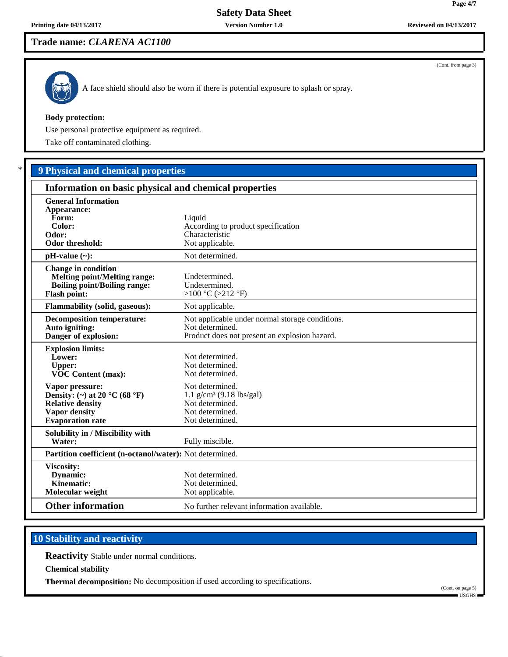(Cont. from page 3)

# **Safety Data Sheet**

# **Trade name:** *CLARENA AC1100*



A face shield should also be worn if there is potential exposure to splash or spray.

#### **Body protection:**

Use personal protective equipment as required.

Take off contaminated clothing.

# \* **9 Physical and chemical properties**

| Information on basic physical and chemical properties                                                                                              |                                                                                                                     |
|----------------------------------------------------------------------------------------------------------------------------------------------------|---------------------------------------------------------------------------------------------------------------------|
| <b>General Information</b><br>Appearance:<br>Form:<br>Color:<br>Odor:<br><b>Odor threshold:</b>                                                    | Liquid<br>According to product specification<br>Characteristic<br>Not applicable.                                   |
| $pH-value (\sim):$                                                                                                                                 | Not determined.                                                                                                     |
| <b>Change in condition</b><br><b>Melting point/Melting range:</b><br><b>Boiling point/Boiling range:</b><br><b>Flash point:</b>                    | Undetermined.<br>Undetermined.<br>>100 °C (>212 °F)                                                                 |
| <b>Flammability (solid, gaseous):</b>                                                                                                              | Not applicable.                                                                                                     |
| <b>Decomposition temperature:</b><br>Auto igniting:<br>Danger of explosion:                                                                        | Not applicable under normal storage conditions.<br>Not determined.<br>Product does not present an explosion hazard. |
| <b>Explosion limits:</b><br>Lower:<br><b>Upper:</b><br><b>VOC Content (max):</b>                                                                   | Not determined.<br>Not determined.<br>Not determined.                                                               |
| Vapor pressure:<br>Density: (~) at 20 $^{\circ}$ C (68 $^{\circ}$ F)<br><b>Relative density</b><br><b>Vapor density</b><br><b>Evaporation</b> rate | Not determined.<br>$1.1$ g/cm <sup>3</sup> (9.18 lbs/gal)<br>Not determined.<br>Not determined.<br>Not determined.  |
| Solubility in / Miscibility with<br>Water:                                                                                                         | Fully miscible.                                                                                                     |
| Partition coefficient (n-octanol/water): Not determined.                                                                                           |                                                                                                                     |
| Viscosity:<br>Dynamic:<br>Kinematic:<br>Molecular weight                                                                                           | Not determined.<br>Not determined.<br>Not applicable.                                                               |
| <b>Other information</b>                                                                                                                           | No further relevant information available.                                                                          |

# **10 Stability and reactivity**

**Reactivity** Stable under normal conditions.

**Chemical stability**

**Thermal decomposition:** No decomposition if used according to specifications.

(Cont. on page 5) USGHS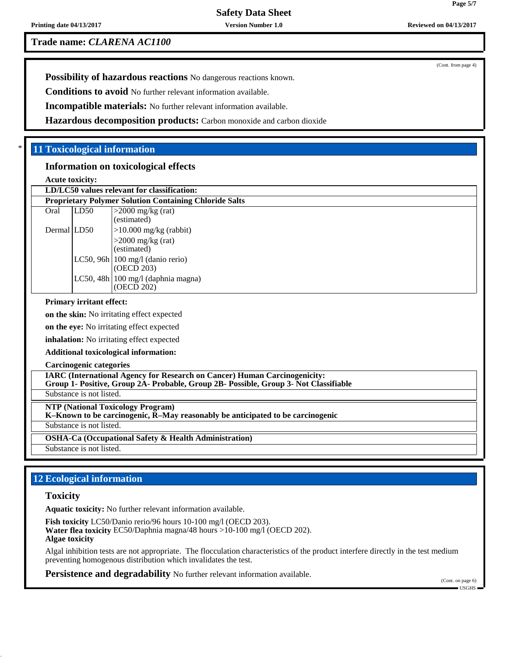**Printing date 04/13/2017 Version Number 1.0 Reviewed on 04/13/2017 Reviewed on 04/13/2017** 

(Cont. from page 4)

**Trade name:** *CLARENA AC1100*

**Possibility of hazardous reactions** No dangerous reactions known.

**Conditions to avoid** No further relevant information available.

**Incompatible materials:** No further relevant information available.

**Hazardous decomposition products:** Carbon monoxide and carbon dioxide

# \* **11 Toxicological information**

## **Information on toxicological effects**

**Acute toxicity:**

|             | LD/LC50 values relevant for classification:<br><b>Proprietary Polymer Solution Containing Chloride Salts</b> |                                                        |  |  |  |
|-------------|--------------------------------------------------------------------------------------------------------------|--------------------------------------------------------|--|--|--|
|             |                                                                                                              |                                                        |  |  |  |
| Oral        | LD50                                                                                                         | $>2000$ mg/kg (rat)<br>(estimated)                     |  |  |  |
| Dermal LD50 |                                                                                                              | $>10.000$ mg/kg (rabbit)                               |  |  |  |
|             |                                                                                                              | $>2000$ mg/kg (rat)<br>(estimated)                     |  |  |  |
|             |                                                                                                              | LC50, 96h $\vert$ 100 mg/l (danio rerio)<br>(OECD 203) |  |  |  |
|             |                                                                                                              | LC50, 48h   100 mg/l (daphnia magna)<br>(OECD 202)     |  |  |  |
|             | $\sim$ $\sim$ $\sim$ $\sim$ $\sim$ $\sim$                                                                    |                                                        |  |  |  |

#### **Primary irritant effect:**

**on the skin:** No irritating effect expected

**on the eye:** No irritating effect expected

**inhalation:** No irritating effect expected

**Additional toxicological information:**

**Carcinogenic categories**

**IARC (International Agency for Research on Cancer) Human Carcinogenicity: Group 1- Positive, Group 2A- Probable, Group 2B- Possible, Group 3- Not Classifiable**

Substance is not listed.

**NTP (National Toxicology Program)**

**K–Known to be carcinogenic, R–May reasonably be anticipated to be carcinogenic**

Substance is not listed.

**OSHA-Ca (Occupational Safety & Health Administration)**

Substance is not listed.

# **12 Ecological information**

#### **Toxicity**

**Aquatic toxicity:** No further relevant information available.

**Fish toxicity** LC50/Danio rerio/96 hours 10-100 mg/l (OECD 203). **Water flea toxicity** EC50/Daphnia magna/48 hours >10-100 mg/l (OECD 202). **Algae toxicity**

Algal inhibition tests are not appropriate. The flocculation characteristics of the product interfere directly in the test medium preventing homogenous distribution which invalidates the test.

**Persistence and degradability** No further relevant information available.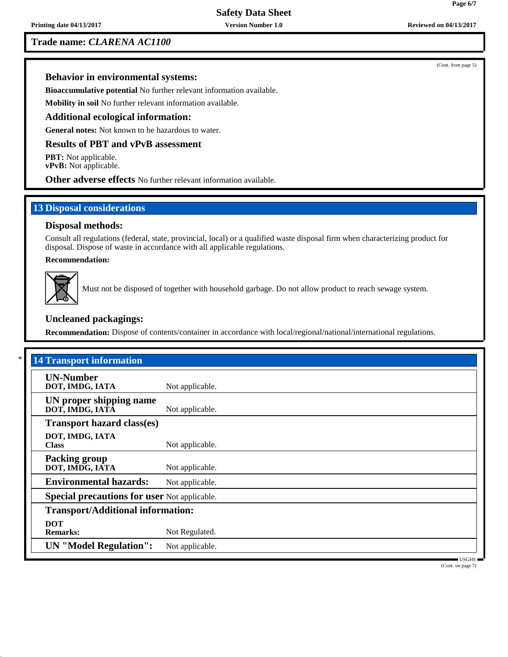# **Trade name:** *CLARENA AC1100*

**Behavior in environmental systems:**

**Bioaccumulative potential** No further relevant information available.

**Mobility in soil** No further relevant information available.

## **Additional ecological information:**

**General notes:** Not known to be hazardous to water.

### **Results of PBT and vPvB assessment**

**PBT:** Not applicable. **vPvB:** Not applicable.

**Other adverse effects** No further relevant information available.

## **13 Disposal considerations**

### **Disposal methods:**

Consult all regulations (federal, state, provincial, local) or a qualified waste disposal firm when characterizing product for disposal. Dispose of waste in accordance with all applicable regulations.

**Recommendation:**



Must not be disposed of together with household garbage. Do not allow product to reach sewage system.

# **Uncleaned packagings:**

**Recommendation:** Dispose of contents/container in accordance with local/regional/national/international regulations.

| <b>14 Transport information</b>                     |                 |  |
|-----------------------------------------------------|-----------------|--|
| <b>UN-Number</b><br>DOT, IMDG, IATA                 | Not applicable. |  |
| UN proper shipping name<br>DOT, IMDG, IATA          | Not applicable. |  |
| <b>Transport hazard class(es)</b>                   |                 |  |
| DOT, IMDG, IATA<br><b>Class</b>                     | Not applicable. |  |
| <b>Packing group</b><br>DOT, IMDG, IATA             | Not applicable. |  |
| <b>Environmental hazards:</b>                       | Not applicable. |  |
| <b>Special precautions for user Not applicable.</b> |                 |  |
| <b>Transport/Additional information:</b>            |                 |  |
| <b>DOT</b><br><b>Remarks:</b>                       | Not Regulated.  |  |
| <b>UN "Model Regulation":</b>                       | Not applicable. |  |

(Cont. on page 7)

(Cont. from page 5)